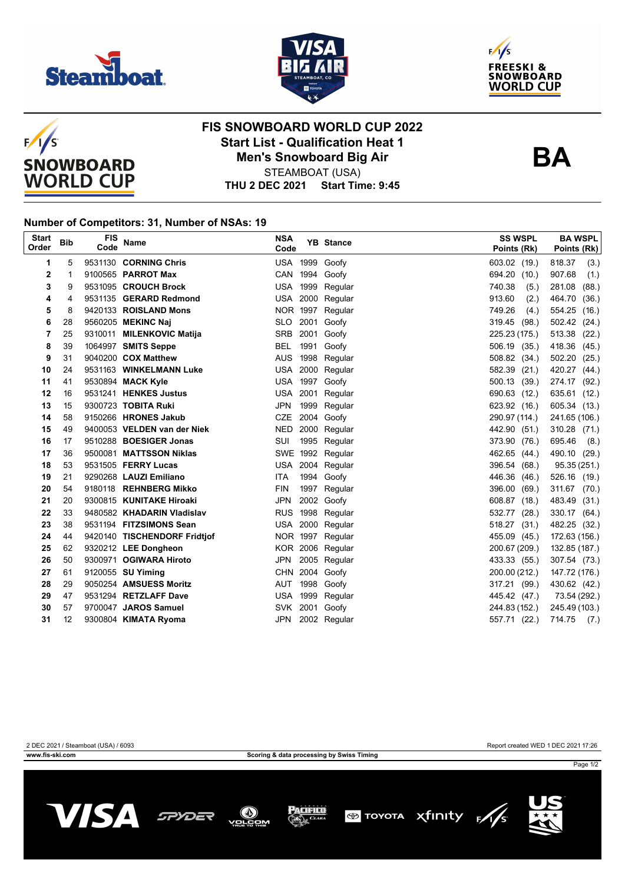







## **FIS SNOWBOARD WORLD CUP 2022 Start List - Qualification Heat 1 Men's Snowboard Big Air**



STEAMBOAT (USA)

### **THU 2 DEC 2021 Start Time: 9:45**

#### **Number of Competitors: 31, Number of NSAs: 19**

| <b>Start</b><br>Order | <b>Bib</b> | <b>FIS</b><br>Code | <b>Name</b>                  | <b>NSA</b><br>Code |      | <b>YB</b> Stance | <b>SS WSPL</b><br>Points (Rk) | <b>BA WSPL</b><br>Points (Rk) |
|-----------------------|------------|--------------------|------------------------------|--------------------|------|------------------|-------------------------------|-------------------------------|
| 1                     | 5          |                    | 9531130 CORNING Chris        |                    |      | USA 1999 Goofy   | 603.02 (19.)                  | 818.37<br>(3.)                |
| 2                     | 1          |                    | 9100565 PARROT Max           |                    |      | CAN 1994 Goofy   | 694.20 (10.)                  | 907.68<br>(1.)                |
| 3                     | 9          |                    | 9531095 CROUCH Brock         |                    |      | USA 1999 Regular | 740.38<br>(5.)                | 281.08<br>(88.)               |
| 4                     | 4          |                    | 9531135 GERARD Redmond       |                    |      | USA 2000 Regular | 913.60<br>(2.)                | 464.70<br>(36.)               |
| 5                     | 8          |                    | 9420133 ROISLAND Mons        | NOR 1997           |      | Regular          | 749.26<br>(4.)                | 554.25 (16.)                  |
| 6                     | 28         |                    | 9560205 MEKINC Naj           |                    |      | SLO 2001 Goofy   | 319.45<br>(98.)               | 502.42 (24.)                  |
| 7                     | 25         |                    | 9310011 MILENKOVIC Matija    | <b>SRB</b>         |      | 2001 Goofy       | 225.23 (175.)                 | 513.38<br>(22.)               |
| 8                     | 39         |                    | 1064997 SMITS Seppe          | BEL                | 1991 | Goofy            | 506.19 (35.)                  | 418.36 (45.)                  |
| 9                     | 31         |                    | 9040200 COX Matthew          |                    |      | AUS 1998 Regular | 508.82 (34.)                  | 502.20 (25.)                  |
| 10                    | 24         |                    | 9531163 WINKELMANN Luke      |                    |      | USA 2000 Regular | 582.39<br>(21.)               | 420.27 (44.)                  |
| 11                    | 41         |                    | 9530894 MACK Kyle            |                    |      | USA 1997 Goofy   | 500.13 (39.)                  | 274.17 (92.)                  |
| 12                    | 16         |                    | 9531241 HENKES Justus        | USA 2001           |      | Regular          | 690.63 (12.)                  | 635.61 (12.)                  |
| 13                    | 15         |                    | 9300723 TOBITA Ruki          | JPN 1999           |      | Regular          | 623.92 (16.)                  | 605.34 (13.)                  |
| 14                    | 58         |                    | 9150266 HRONES Jakub         | CZE                |      | 2004 Goofy       | 290.97 (114.)                 | 241.65 (106.)                 |
| 15                    | 49         |                    | 9400053 VELDEN van der Niek  | <b>NED</b>         |      | 2000 Regular     | 442.90 (51.)                  | 310.28 (71.)                  |
| 16                    | 17         |                    | 9510288 BOESIGER Jonas       | SUI                |      | 1995 Regular     | 373.90 (76.)                  | 695.46<br>(8.)                |
| 17                    | 36         |                    | 9500081 MATTSSON Niklas      |                    |      | SWE 1992 Regular | 462.65 (44.)                  | 490.10 (29.)                  |
| 18                    | 53         |                    | 9531505 FERRY Lucas          |                    |      | USA 2004 Regular | 396.54 (68.)                  | 95.35 (251.)                  |
| 19                    | 21         |                    | 9290268 LAUZI Emiliano       | ITA.               |      | 1994 Goofy       | 446.36 (46.)                  | 526.16 (19.)                  |
| 20                    | 54         |                    | 9180118 REHNBERG Mikko       | <b>FIN</b>         |      | 1997 Regular     | 396.00 (69.)                  | 311.67 (70.)                  |
| 21                    | 20         |                    | 9300815 KUNITAKE Hiroaki     | JPN                |      | 2002 Goofy       | 608.87 (18.)                  | 483.49 (31.)                  |
| 22                    | 33         |                    | 9480582 KHADARIN Vladislav   |                    |      | RUS 1998 Regular | 532.77 (28.)                  | 330.17 (64.)                  |
| 23                    | 38         |                    | 9531194 FITZSIMONS Sean      |                    |      | USA 2000 Regular | 518.27 (31.)                  | 482.25 (32.)                  |
| 24                    | 44         |                    | 9420140 TISCHENDORF Fridtjof |                    |      | NOR 1997 Regular | 455.09 (45.)                  | 172.63 (156.)                 |
| 25                    | 62         |                    | 9320212 LEE Dongheon         |                    |      | KOR 2006 Regular | 200.67 (209.)                 | 132.85 (187.)                 |
| 26                    | 50         |                    | 9300971 OGIWARA Hiroto       | JPN                |      | 2005 Regular     | 433.33 (55.)                  | 307.54 (73.)                  |
| 27                    | 61         |                    | 9120055 SU Yiming            |                    |      | CHN 2004 Goofy   | 200.00 (212.)                 | 147.72 (176.)                 |
| 28                    | 29         |                    | 9050254 AMSUESS Moritz       |                    |      | AUT 1998 Goofy   | 317.21 (99.)                  | 430.62 (42.)                  |
| 29                    | 47         |                    | 9531294 RETZLAFF Dave        | <b>USA 1999</b>    |      | Regular          | 445.42 (47.)                  | 73.54 (292.)                  |
| 30                    | 57         |                    | 9700047 JAROS Samuel         | <b>SVK</b>         |      | 2001 Goofy       | 244.83 (152.)                 | 245.49 (103.)                 |
| 31                    | 12         |                    | 9300804 KIMATA Ryoma         | JPN                |      | 2002 Regular     | 557.71 (22.)                  | 714.75<br>(7.)                |

**www.fis-ski.com Scoring & data processing by Swiss Timing**

2 DEC 2021 / Steamboat (USA) / 6093 Report created WED 1 DEC 2021 17:26